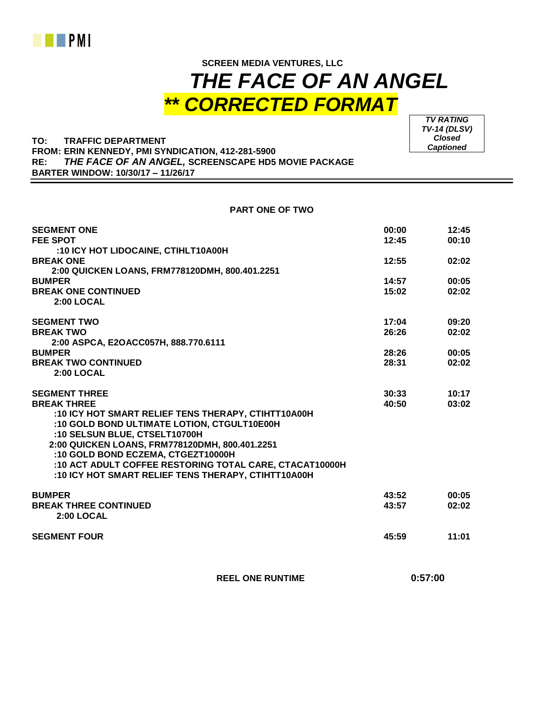

## **SCREEN MEDIA VENTURES, LLC**  *THE FACE OF AN ANGEL \*\* CORRECTED FORMAT*

**TO: TRAFFIC DEPARTMENT FROM: ERIN KENNEDY, PMI SYNDICATION, 412-281-5900 RE:** *THE FACE OF AN ANGEL,* **SCREENSCAPE HD5 MOVIE PACKAGE BARTER WINDOW: 10/30/17 – 11/26/17**

**SEGMENT ONE 00:00 12:45 FEE SPOT 12:45 00:10 :10 ICY HOT LIDOCAINE, CTIHLT10A00H BREAK ONE 12:55 02:02 2:00 QUICKEN LOANS, FRM778120DMH, 800.401.2251 BUMPER 14:57 00:05 BREAK ONE CONTINUED 15:02 02:02 2:00 LOCAL SEGMENT TWO 17:04 09:20 BREAK TWO 26:26 02:02 2:00 ASPCA, E2OACC057H, 888.770.6111 BUMPER 28:26 00:05 BREAK TWO CONTINUED 28:31 02:02 2:00 LOCAL SEGMENT THREE 30:33 10:17 BREAK THREE 40:50 03:02 :10 ICY HOT SMART RELIEF TENS THERAPY, CTIHTT10A00H :10 GOLD BOND ULTIMATE LOTION, CTGULT10E00H :10 SELSUN BLUE, CTSELT10700H 2:00 QUICKEN LOANS, FRM778120DMH, 800.401.2251 :10 GOLD BOND ECZEMA, CTGEZT10000H :10 ACT ADULT COFFEE RESTORING TOTAL CARE, CTACAT10000H :10 ICY HOT SMART RELIEF TENS THERAPY, CTIHTT10A00H BUMPER 43:52 00:05 BREAK THREE CONTINUED 43:57 02:02 2:00 LOCAL SEGMENT FOUR 45:59 11:01**

 **REEL ONE RUNTIME 0:57:00**

*TV RATING TV-14 (DLSV) Closed Captioned*

**PART ONE OF TWO**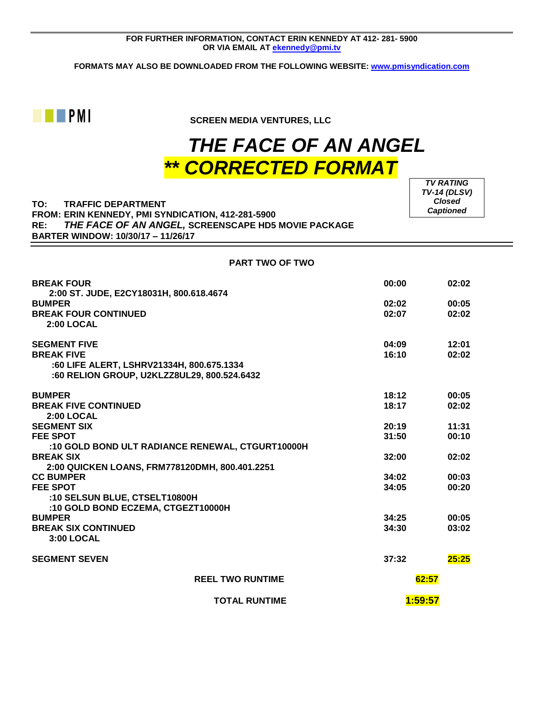**FORMATS MAY ALSO BE DOWNLOADED FROM THE FOLLOWING WEBSITE: [www.pmisyndication.com](http://www.pmisyndication.com/)**



**EXPIRICITE SCREEN MEDIA VENTURES, LLC** 

## *THE FACE OF AN ANGEL \*\* CORRECTED FORMAT*

## **TO: TRAFFIC DEPARTMENT FROM: ERIN KENNEDY, PMI SYNDICATION, 412-281-5900 RE:** *THE FACE OF AN ANGEL,* **SCREENSCAPE HD5 MOVIE PACKAGE BARTER WINDOW: 10/30/17 – 11/26/17**

*TV RATING TV-14 (DLSV) Closed Captioned*

**PART TWO OF TWO**

| <b>BREAK FOUR</b>                                        | 00:00   | 02:02 |
|----------------------------------------------------------|---------|-------|
| 2:00 ST. JUDE, E2CY18031H, 800.618.4674<br><b>BUMPER</b> | 02:02   | 00:05 |
| <b>BREAK FOUR CONTINUED</b>                              | 02:07   | 02:02 |
| 2:00 LOCAL                                               |         |       |
| <b>SEGMENT FIVE</b>                                      | 04:09   | 12:01 |
| <b>BREAK FIVE</b>                                        | 16:10   | 02:02 |
| :60 LIFE ALERT, LSHRV21334H, 800.675.1334                |         |       |
| :60 RELION GROUP, U2KLZZ8UL29, 800.524.6432              |         |       |
| <b>BUMPER</b>                                            | 18:12   | 00:05 |
| <b>BREAK FIVE CONTINUED</b>                              | 18:17   | 02:02 |
| <b>2:00 LOCAL</b>                                        |         |       |
| <b>SEGMENT SIX</b>                                       | 20:19   | 11:31 |
|                                                          |         |       |
| <b>FEE SPOT</b>                                          | 31:50   | 00:10 |
| :10 GOLD BOND ULT RADIANCE RENEWAL, CTGURT10000H         |         |       |
| <b>BREAK SIX</b>                                         | 32:00   | 02:02 |
| 2:00 QUICKEN LOANS, FRM778120DMH, 800.401.2251           |         |       |
| <b>CC BUMPER</b>                                         | 34:02   | 00:03 |
| <b>FEE SPOT</b>                                          | 34:05   | 00:20 |
| :10 SELSUN BLUE, CTSELT10800H                            |         |       |
| :10 GOLD BOND ECZEMA, CTGEZT10000H                       |         |       |
| <b>BUMPER</b>                                            | 34:25   | 00:05 |
| <b>BREAK SIX CONTINUED</b>                               | 34:30   | 03:02 |
| <b>3:00 LOCAL</b>                                        |         |       |
| <b>SEGMENT SEVEN</b>                                     | 37:32   | 25:25 |
| <b>REEL TWO RUNTIME</b>                                  | 62:57   |       |
| <b>TOTAL RUNTIME</b>                                     | 1:59:57 |       |